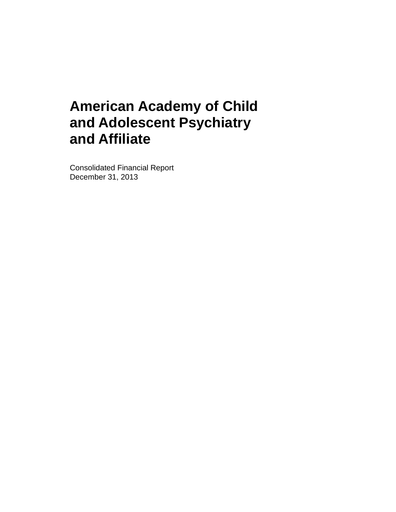Consolidated Financial Report December 31, 2013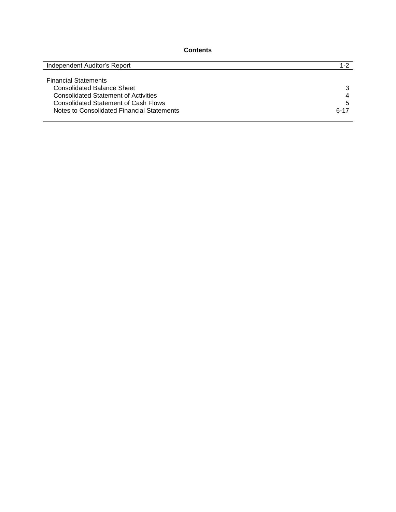## **Contents**

| Independent Auditor's Report                | $1 - 2$  |
|---------------------------------------------|----------|
|                                             |          |
| <b>Financial Statements</b>                 |          |
| <b>Consolidated Balance Sheet</b>           | 3        |
| <b>Consolidated Statement of Activities</b> | 4        |
| <b>Consolidated Statement of Cash Flows</b> | 5        |
| Notes to Consolidated Financial Statements  | $6 - 17$ |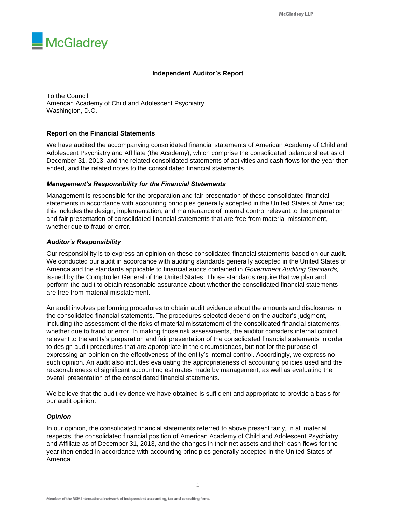

## **Independent Auditor's Report**

To the Council American Academy of Child and Adolescent Psychiatry Washington, D.C.

## **Report on the Financial Statements**

We have audited the accompanying consolidated financial statements of American Academy of Child and Adolescent Psychiatry and Affiliate (the Academy), which comprise the consolidated balance sheet as of December 31, 2013, and the related consolidated statements of activities and cash flows for the year then ended, and the related notes to the consolidated financial statements.

#### *Management's Responsibility for the Financial Statements*

Management is responsible for the preparation and fair presentation of these consolidated financial statements in accordance with accounting principles generally accepted in the United States of America; this includes the design, implementation, and maintenance of internal control relevant to the preparation and fair presentation of consolidated financial statements that are free from material misstatement, whether due to fraud or error.

## *Auditor's Responsibility*

Our responsibility is to express an opinion on these consolidated financial statements based on our audit. We conducted our audit in accordance with auditing standards generally accepted in the United States of America and the standards applicable to financial audits contained in *Government Auditing Standards,* issued by the Comptroller General of the United States. Those standards require that we plan and perform the audit to obtain reasonable assurance about whether the consolidated financial statements are free from material misstatement.

An audit involves performing procedures to obtain audit evidence about the amounts and disclosures in the consolidated financial statements. The procedures selected depend on the auditor's judgment, including the assessment of the risks of material misstatement of the consolidated financial statements, whether due to fraud or error. In making those risk assessments, the auditor considers internal control relevant to the entity's preparation and fair presentation of the consolidated financial statements in order to design audit procedures that are appropriate in the circumstances, but not for the purpose of expressing an opinion on the effectiveness of the entity's internal control. Accordingly, we express no such opinion. An audit also includes evaluating the appropriateness of accounting policies used and the reasonableness of significant accounting estimates made by management, as well as evaluating the overall presentation of the consolidated financial statements.

We believe that the audit evidence we have obtained is sufficient and appropriate to provide a basis for our audit opinion.

#### *Opinion*

In our opinion, the consolidated financial statements referred to above present fairly, in all material respects, the consolidated financial position of American Academy of Child and Adolescent Psychiatry and Affiliate as of December 31, 2013, and the changes in their net assets and their cash flows for the year then ended in accordance with accounting principles generally accepted in the United States of America.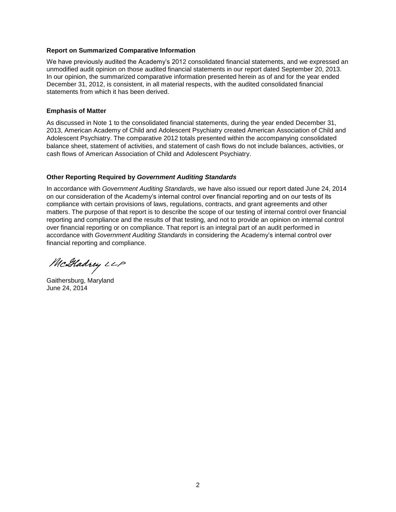#### **Report on Summarized Comparative Information**

We have previously audited the Academy's 2012 consolidated financial statements, and we expressed an unmodified audit opinion on those audited financial statements in our report dated September 20, 2013. In our opinion, the summarized comparative information presented herein as of and for the year ended December 31, 2012, is consistent, in all material respects, with the audited consolidated financial statements from which it has been derived.

#### **Emphasis of Matter**

As discussed in Note 1 to the consolidated financial statements, during the year ended December 31, 2013, American Academy of Child and Adolescent Psychiatry created American Association of Child and Adolescent Psychiatry. The comparative 2012 totals presented within the accompanying consolidated balance sheet, statement of activities, and statement of cash flows do not include balances, activities, or cash flows of American Association of Child and Adolescent Psychiatry.

#### **Other Reporting Required by** *Government Auditing Standards*

In accordance with *Government Auditing Standards*, we have also issued our report dated June 24, 2014 on our consideration of the Academy's internal control over financial reporting and on our tests of its compliance with certain provisions of laws, regulations, contracts, and grant agreements and other matters. The purpose of that report is to describe the scope of our testing of internal control over financial reporting and compliance and the results of that testing, and not to provide an opinion on internal control over financial reporting or on compliance. That report is an integral part of an audit performed in accordance with *Government Auditing Standards* in considering the Academy's internal control over financial reporting and compliance.

McGladrey LLP

Gaithersburg, Maryland June 24, 2014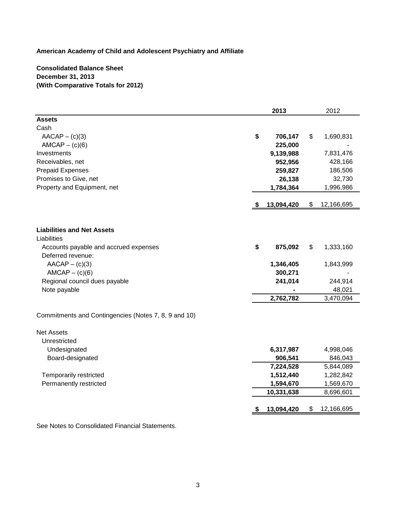## **Consolidated Balance Sheet December 31, 2013 (With Comparative Totals for 2012)**

| <b>Assets</b><br>Cash<br>\$<br>$AACAP - (c)(3)$<br>706,147<br>\$<br>1,690,831<br>$AMCAP - (c)(6)$<br>225,000<br>9,139,988<br>Investments<br>7,831,476<br>952,956<br>428,166<br>Receivables, net<br><b>Prepaid Expenses</b><br>259,827<br>186,506<br>Promises to Give, net<br>26,138<br>32,730<br>Property and Equipment, net<br>1,784,364<br>1,996,986<br>13,094,420<br>\$<br>12,166,695<br>S.<br><b>Liabilities and Net Assets</b><br>Liabilities<br>\$<br>875,092<br>\$<br>1,333,160<br>Accounts payable and accrued expenses<br>Deferred revenue:<br>$AACAP - (c)(3)$<br>1,346,405<br>1,843,999<br>$AMCAP - (c)(6)$<br>300,271<br>Regional council dues payable<br>241,014<br>244,914<br>Note payable<br>48,021<br>2,762,782<br>3,470,094<br>Commitments and Contingencies (Notes 7, 8, 9 and 10)<br><b>Net Assets</b><br>Unrestricted<br>Undesignated<br>6,317,987<br>4,998,046<br>906,541<br>Board-designated<br>846,043<br>7,224,528<br>5,844,089<br>Temporarily restricted<br>1,512,440<br>1,282,842<br>1,594,670<br>Permanently restricted<br>1,569,670<br>10,331,638<br>8,696,601<br>13,094,420<br>12,166,695<br>\$<br>æ. |  | 2013 | 2012 |
|------------------------------------------------------------------------------------------------------------------------------------------------------------------------------------------------------------------------------------------------------------------------------------------------------------------------------------------------------------------------------------------------------------------------------------------------------------------------------------------------------------------------------------------------------------------------------------------------------------------------------------------------------------------------------------------------------------------------------------------------------------------------------------------------------------------------------------------------------------------------------------------------------------------------------------------------------------------------------------------------------------------------------------------------------------------------------------------------------------------------------------|--|------|------|
|                                                                                                                                                                                                                                                                                                                                                                                                                                                                                                                                                                                                                                                                                                                                                                                                                                                                                                                                                                                                                                                                                                                                    |  |      |      |
|                                                                                                                                                                                                                                                                                                                                                                                                                                                                                                                                                                                                                                                                                                                                                                                                                                                                                                                                                                                                                                                                                                                                    |  |      |      |
|                                                                                                                                                                                                                                                                                                                                                                                                                                                                                                                                                                                                                                                                                                                                                                                                                                                                                                                                                                                                                                                                                                                                    |  |      |      |
|                                                                                                                                                                                                                                                                                                                                                                                                                                                                                                                                                                                                                                                                                                                                                                                                                                                                                                                                                                                                                                                                                                                                    |  |      |      |
|                                                                                                                                                                                                                                                                                                                                                                                                                                                                                                                                                                                                                                                                                                                                                                                                                                                                                                                                                                                                                                                                                                                                    |  |      |      |
|                                                                                                                                                                                                                                                                                                                                                                                                                                                                                                                                                                                                                                                                                                                                                                                                                                                                                                                                                                                                                                                                                                                                    |  |      |      |
|                                                                                                                                                                                                                                                                                                                                                                                                                                                                                                                                                                                                                                                                                                                                                                                                                                                                                                                                                                                                                                                                                                                                    |  |      |      |
|                                                                                                                                                                                                                                                                                                                                                                                                                                                                                                                                                                                                                                                                                                                                                                                                                                                                                                                                                                                                                                                                                                                                    |  |      |      |
|                                                                                                                                                                                                                                                                                                                                                                                                                                                                                                                                                                                                                                                                                                                                                                                                                                                                                                                                                                                                                                                                                                                                    |  |      |      |
|                                                                                                                                                                                                                                                                                                                                                                                                                                                                                                                                                                                                                                                                                                                                                                                                                                                                                                                                                                                                                                                                                                                                    |  |      |      |
|                                                                                                                                                                                                                                                                                                                                                                                                                                                                                                                                                                                                                                                                                                                                                                                                                                                                                                                                                                                                                                                                                                                                    |  |      |      |
|                                                                                                                                                                                                                                                                                                                                                                                                                                                                                                                                                                                                                                                                                                                                                                                                                                                                                                                                                                                                                                                                                                                                    |  |      |      |
|                                                                                                                                                                                                                                                                                                                                                                                                                                                                                                                                                                                                                                                                                                                                                                                                                                                                                                                                                                                                                                                                                                                                    |  |      |      |
|                                                                                                                                                                                                                                                                                                                                                                                                                                                                                                                                                                                                                                                                                                                                                                                                                                                                                                                                                                                                                                                                                                                                    |  |      |      |
|                                                                                                                                                                                                                                                                                                                                                                                                                                                                                                                                                                                                                                                                                                                                                                                                                                                                                                                                                                                                                                                                                                                                    |  |      |      |
|                                                                                                                                                                                                                                                                                                                                                                                                                                                                                                                                                                                                                                                                                                                                                                                                                                                                                                                                                                                                                                                                                                                                    |  |      |      |
|                                                                                                                                                                                                                                                                                                                                                                                                                                                                                                                                                                                                                                                                                                                                                                                                                                                                                                                                                                                                                                                                                                                                    |  |      |      |
|                                                                                                                                                                                                                                                                                                                                                                                                                                                                                                                                                                                                                                                                                                                                                                                                                                                                                                                                                                                                                                                                                                                                    |  |      |      |
|                                                                                                                                                                                                                                                                                                                                                                                                                                                                                                                                                                                                                                                                                                                                                                                                                                                                                                                                                                                                                                                                                                                                    |  |      |      |
|                                                                                                                                                                                                                                                                                                                                                                                                                                                                                                                                                                                                                                                                                                                                                                                                                                                                                                                                                                                                                                                                                                                                    |  |      |      |
|                                                                                                                                                                                                                                                                                                                                                                                                                                                                                                                                                                                                                                                                                                                                                                                                                                                                                                                                                                                                                                                                                                                                    |  |      |      |
|                                                                                                                                                                                                                                                                                                                                                                                                                                                                                                                                                                                                                                                                                                                                                                                                                                                                                                                                                                                                                                                                                                                                    |  |      |      |
|                                                                                                                                                                                                                                                                                                                                                                                                                                                                                                                                                                                                                                                                                                                                                                                                                                                                                                                                                                                                                                                                                                                                    |  |      |      |
|                                                                                                                                                                                                                                                                                                                                                                                                                                                                                                                                                                                                                                                                                                                                                                                                                                                                                                                                                                                                                                                                                                                                    |  |      |      |
|                                                                                                                                                                                                                                                                                                                                                                                                                                                                                                                                                                                                                                                                                                                                                                                                                                                                                                                                                                                                                                                                                                                                    |  |      |      |
|                                                                                                                                                                                                                                                                                                                                                                                                                                                                                                                                                                                                                                                                                                                                                                                                                                                                                                                                                                                                                                                                                                                                    |  |      |      |
|                                                                                                                                                                                                                                                                                                                                                                                                                                                                                                                                                                                                                                                                                                                                                                                                                                                                                                                                                                                                                                                                                                                                    |  |      |      |
|                                                                                                                                                                                                                                                                                                                                                                                                                                                                                                                                                                                                                                                                                                                                                                                                                                                                                                                                                                                                                                                                                                                                    |  |      |      |
|                                                                                                                                                                                                                                                                                                                                                                                                                                                                                                                                                                                                                                                                                                                                                                                                                                                                                                                                                                                                                                                                                                                                    |  |      |      |
|                                                                                                                                                                                                                                                                                                                                                                                                                                                                                                                                                                                                                                                                                                                                                                                                                                                                                                                                                                                                                                                                                                                                    |  |      |      |
|                                                                                                                                                                                                                                                                                                                                                                                                                                                                                                                                                                                                                                                                                                                                                                                                                                                                                                                                                                                                                                                                                                                                    |  |      |      |

See Notes to Consolidated Financial Statements.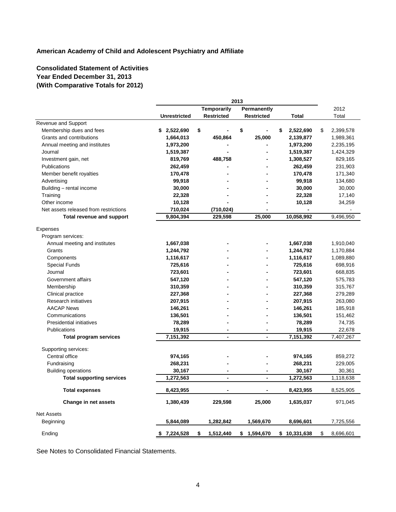# **Consolidated Statement of Activities Year Ended December 31, 2013 (With Comparative Totals for 2012)**

|                                       |                     |                   | 2013                     |                 |                 |
|---------------------------------------|---------------------|-------------------|--------------------------|-----------------|-----------------|
|                                       |                     | Temporarily       | Permanently              |                 | 2012            |
|                                       | <b>Unrestricted</b> | <b>Restricted</b> | <b>Restricted</b>        | Total           | Total           |
| Revenue and Support                   |                     |                   |                          |                 |                 |
| Membership dues and fees              | \$2,522,690         | \$                | \$                       | 2,522,690<br>\$ | \$<br>2,399,578 |
| Grants and contributions              | 1,664,013           | 450,864           | 25,000                   | 2,139,877       | 1,989,361       |
| Annual meeting and institutes         | 1,973,200           |                   |                          | 1,973,200       | 2,235,195       |
| Journal                               | 1,519,387           |                   |                          | 1,519,387       | 1,424,329       |
| Investment gain, net                  | 819,769             | 488,758           |                          | 1,308,527       | 829,165         |
| Publications                          | 262,459             |                   |                          | 262,459         | 231,903         |
| Member benefit royalties              | 170,478             |                   |                          | 170,478         | 171,340         |
| Advertising                           | 99,918              |                   |                          | 99,918          | 134,680         |
| Building - rental income              | 30,000              |                   |                          | 30,000          | 30,000          |
| Training                              | 22,328              |                   |                          | 22,328          | 17,140          |
| Other income                          | 10,128              |                   |                          | 10,128          | 34,259          |
| Net assets released from restrictions | 710,024             | (710, 024)        | $\overline{\phantom{a}}$ | $\overline{a}$  |                 |
| <b>Total revenue and support</b>      | 9,804,394           | 229,598           | 25,000                   | 10,058,992      | 9,496,950       |
| Expenses                              |                     |                   |                          |                 |                 |
| Program services:                     |                     |                   |                          |                 |                 |
| Annual meeting and institutes         | 1,667,038           |                   |                          | 1,667,038       | 1,910,040       |
| Grants                                | 1,244,792           |                   |                          | 1,244,792       | 1,170,884       |
| Components                            | 1,116,617           |                   |                          | 1,116,617       | 1,089,880       |
| <b>Special Funds</b>                  | 725,616             |                   |                          | 725,616         | 698,916         |
| Journal                               | 723,601             |                   |                          | 723,601         | 668,835         |
| Government affairs                    | 547,120             |                   |                          | 547,120         | 575,783         |
| Membership                            | 310,359             |                   |                          | 310,359         | 315,767         |
| Clinical practice                     | 227,368             |                   |                          | 227,368         | 279,289         |
| <b>Research initiatives</b>           | 207,915             |                   |                          | 207,915         | 263,080         |
| <b>AACAP News</b>                     | 146,261             |                   |                          | 146,261         | 185,918         |
| Communications                        | 136,501             |                   |                          | 136,501         |                 |
|                                       |                     |                   |                          |                 | 151,462         |
| Presidential initiatives              | 78,289              |                   |                          | 78,289          | 74,735          |
| Publications                          | 19,915              | -                 | $\blacksquare$           | 19,915          | 22,678          |
| <b>Total program services</b>         | 7,151,392           | $\blacksquare$    | $\overline{\phantom{a}}$ | 7,151,392       | 7,407,267       |
| Supporting services:                  |                     |                   |                          |                 |                 |
| Central office                        | 974,165             |                   |                          | 974,165         | 859,272         |
| Fundraising                           | 268,231             |                   |                          | 268,231         | 229,005         |
| <b>Building operations</b>            | 30,167              |                   |                          | 30,167          | 30,361          |
| <b>Total supporting services</b>      | 1,272,563           | $\blacksquare$    |                          | 1,272,563       | 1,118,638       |
| <b>Total expenses</b>                 | 8,423,955           |                   |                          | 8,423,955       | 8,525,905       |
| Change in net assets                  | 1,380,439           | 229,598           | 25,000                   | 1,635,037       | 971,045         |
| <b>Net Assets</b>                     |                     |                   |                          |                 |                 |
| Beginning                             | 5,844,089           | 1,282,842         | 1,569,670                | 8,696,601       | 7,725,556       |
| Ending                                | \$7,224,528         | 1,512,440<br>\$   | \$ 1,594,670             | \$10,331,638    | 8,696,601<br>\$ |

See Notes to Consolidated Financial Statements.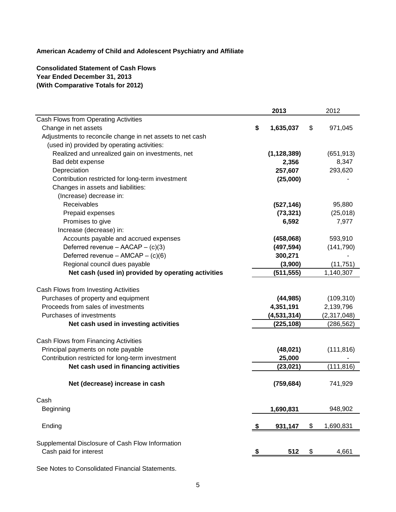# **Consolidated Statement of Cash Flows Year Ended December 31, 2013 (With Comparative Totals for 2012)**

|                                                           |    | 2013          | 2012            |
|-----------------------------------------------------------|----|---------------|-----------------|
| Cash Flows from Operating Activities                      |    |               |                 |
| Change in net assets                                      | \$ | 1,635,037     | \$<br>971,045   |
| Adjustments to reconcile change in net assets to net cash |    |               |                 |
| (used in) provided by operating activities:               |    |               |                 |
| Realized and unrealized gain on investments, net          |    | (1, 128, 389) | (651, 913)      |
| Bad debt expense                                          |    | 2,356         | 8,347           |
| Depreciation                                              |    | 257,607       | 293,620         |
| Contribution restricted for long-term investment          |    | (25,000)      |                 |
| Changes in assets and liabilities:                        |    |               |                 |
| (Increase) decrease in:                                   |    |               |                 |
| Receivables                                               |    | (527, 146)    | 95,880          |
| Prepaid expenses                                          |    | (73, 321)     | (25, 018)       |
| Promises to give                                          |    | 6,592         | 7,977           |
| Increase (decrease) in:                                   |    |               |                 |
| Accounts payable and accrued expenses                     |    | (458,068)     | 593,910         |
| Deferred revenue - $AACAP - (c)(3)$                       |    | (497, 594)    | (141, 790)      |
| Deferred revenue - AMCAP - (c)(6)                         |    | 300,271       |                 |
| Regional council dues payable                             |    | (3,900)       | (11, 751)       |
| Net cash (used in) provided by operating activities       |    | (511, 555)    | 1,140,307       |
| Cash Flows from Investing Activities                      |    |               |                 |
| Purchases of property and equipment                       |    | (44, 985)     | (109, 310)      |
| Proceeds from sales of investments                        |    | 4,351,191     | 2,139,796       |
| Purchases of investments                                  |    | (4, 531, 314) | (2,317,048)     |
| Net cash used in investing activities                     |    | (225, 108)    | (286, 562)      |
| Cash Flows from Financing Activities                      |    |               |                 |
| Principal payments on note payable                        |    | (48, 021)     | (111, 816)      |
| Contribution restricted for long-term investment          |    | 25,000        |                 |
| Net cash used in financing activities                     |    | (23, 021)     | (111, 816)      |
|                                                           |    |               |                 |
| Net (decrease) increase in cash                           |    | (759, 684)    | 741,929         |
| Cash                                                      |    |               |                 |
| Beginning                                                 |    | 1,690,831     | 948,902         |
| Ending                                                    | ъ  | 931,147       | \$<br>1,690,831 |
|                                                           |    |               |                 |
| Supplemental Disclosure of Cash Flow Information          |    |               |                 |
| Cash paid for interest                                    |    | 512           | \$<br>4,661     |
|                                                           |    |               |                 |

See Notes to Consolidated Financial Statements.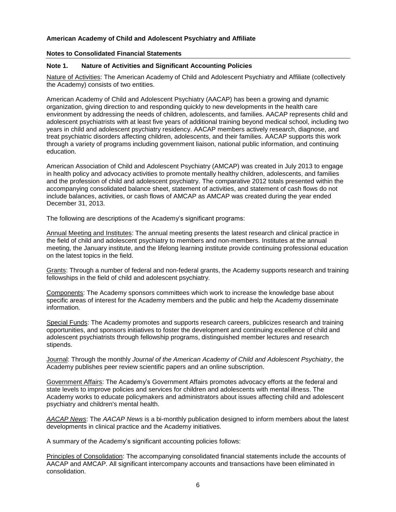#### **Notes to Consolidated Financial Statements**

#### **Note 1. Nature of Activities and Significant Accounting Policies**

Nature of Activities: The American Academy of Child and Adolescent Psychiatry and Affiliate (collectively the Academy) consists of two entities.

American Academy of Child and Adolescent Psychiatry (AACAP) has been a growing and dynamic organization, giving direction to and responding quickly to new developments in the health care environment by addressing the needs of children, adolescents, and families. AACAP represents child and adolescent psychiatrists with at least five years of additional training beyond medical school, including two years in child and adolescent psychiatry residency. AACAP members actively research, diagnose, and treat psychiatric disorders affecting children, adolescents, and their families. AACAP supports this work through a variety of programs including government liaison, national public information, and continuing education.

American Association of Child and Adolescent Psychiatry (AMCAP) was created in July 2013 to engage in health policy and advocacy activities to promote mentally healthy children, adolescents, and families and the profession of child and adolescent psychiatry. The comparative 2012 totals presented within the accompanying consolidated balance sheet, statement of activities, and statement of cash flows do not include balances, activities, or cash flows of AMCAP as AMCAP was created during the year ended December 31, 2013.

The following are descriptions of the Academy's significant programs:

Annual Meeting and Institutes: The annual meeting presents the latest research and clinical practice in the field of child and adolescent psychiatry to members and non-members. Institutes at the annual meeting, the January institute, and the lifelong learning institute provide continuing professional education on the latest topics in the field.

Grants: Through a number of federal and non-federal grants, the Academy supports research and training fellowships in the field of child and adolescent psychiatry.

Components: The Academy sponsors committees which work to increase the knowledge base about specific areas of interest for the Academy members and the public and help the Academy disseminate information.

Special Funds: The Academy promotes and supports research careers, publicizes research and training opportunities, and sponsors initiatives to foster the development and continuing excellence of child and adolescent psychiatrists through fellowship programs, distinguished member lectures and research stipends.

Journal: Through the monthly *Journal of the American Academy of Child and Adolescent Psychiatry*, the Academy publishes peer review scientific papers and an online subscription.

Government Affairs: The Academy's Government Affairs promotes advocacy efforts at the federal and state levels to improve policies and services for children and adolescents with mental illness. The Academy works to educate policymakers and administrators about issues affecting child and adolescent psychiatry and children's mental health.

*AACAP News*: The *AACAP News* is a bi-monthly publication designed to inform members about the latest developments in clinical practice and the Academy initiatives.

A summary of the Academy's significant accounting policies follows:

Principles of Consolidation: The accompanying consolidated financial statements include the accounts of AACAP and AMCAP. All significant intercompany accounts and transactions have been eliminated in consolidation.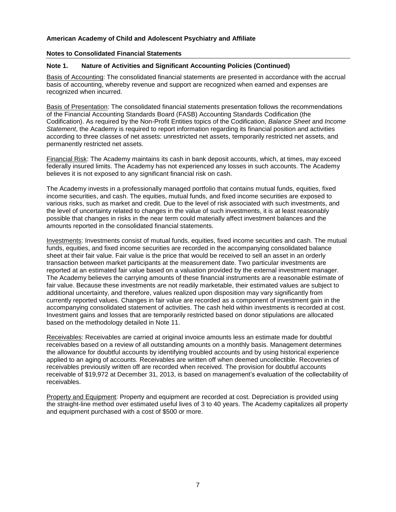#### **Notes to Consolidated Financial Statements**

## **Note 1. Nature of Activities and Significant Accounting Policies (Continued)**

Basis of Accounting: The consolidated financial statements are presented in accordance with the accrual basis of accounting, whereby revenue and support are recognized when earned and expenses are recognized when incurred.

Basis of Presentation: The consolidated financial statements presentation follows the recommendations of the Financial Accounting Standards Board (FASB) Accounting Standards Codification (the Codification). As required by the Non-Profit Entities topics of the Codification, *Balance Sheet* and *Income Statement*, the Academy is required to report information regarding its financial position and activities according to three classes of net assets: unrestricted net assets, temporarily restricted net assets, and permanently restricted net assets.

Financial Risk: The Academy maintains its cash in bank deposit accounts, which, at times, may exceed federally insured limits. The Academy has not experienced any losses in such accounts. The Academy believes it is not exposed to any significant financial risk on cash.

The Academy invests in a professionally managed portfolio that contains mutual funds, equities, fixed income securities, and cash. The equities, mutual funds, and fixed income securities are exposed to various risks, such as market and credit. Due to the level of risk associated with such investments, and the level of uncertainty related to changes in the value of such investments, it is at least reasonably possible that changes in risks in the near term could materially affect investment balances and the amounts reported in the consolidated financial statements.

Investments: Investments consist of mutual funds, equities, fixed income securities and cash. The mutual funds, equities, and fixed income securities are recorded in the accompanying consolidated balance sheet at their fair value. Fair value is the price that would be received to sell an asset in an orderly transaction between market participants at the measurement date. Two particular investments are reported at an estimated fair value based on a valuation provided by the external investment manager. The Academy believes the carrying amounts of these financial instruments are a reasonable estimate of fair value. Because these investments are not readily marketable, their estimated values are subject to additional uncertainty, and therefore, values realized upon disposition may vary significantly from currently reported values. Changes in fair value are recorded as a component of investment gain in the accompanying consolidated statement of activities. The cash held within investments is recorded at cost. Investment gains and losses that are temporarily restricted based on donor stipulations are allocated based on the methodology detailed in Note 11.

Receivables: Receivables are carried at original invoice amounts less an estimate made for doubtful receivables based on a review of all outstanding amounts on a monthly basis. Management determines the allowance for doubtful accounts by identifying troubled accounts and by using historical experience applied to an aging of accounts. Receivables are written off when deemed uncollectible. Recoveries of receivables previously written off are recorded when received. The provision for doubtful accounts receivable of \$19,972 at December 31, 2013, is based on management's evaluation of the collectability of receivables.

Property and Equipment: Property and equipment are recorded at cost. Depreciation is provided using the straight-line method over estimated useful lives of 3 to 40 years. The Academy capitalizes all property and equipment purchased with a cost of \$500 or more.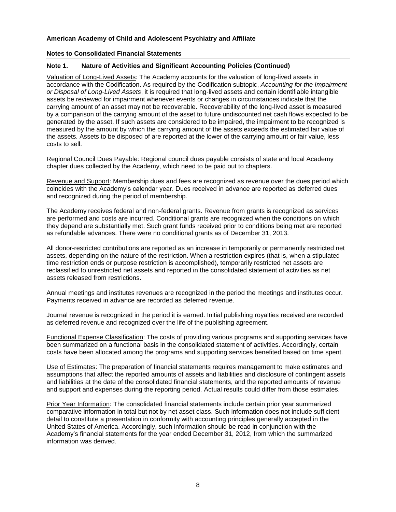#### **Notes to Consolidated Financial Statements**

## **Note 1. Nature of Activities and Significant Accounting Policies (Continued)**

Valuation of Long-Lived Assets: The Academy accounts for the valuation of long-lived assets in accordance with the Codification. As required by the Codification subtopic, *Accounting for the Impairment or Disposal of Long-Lived Assets*, it is required that long-lived assets and certain identifiable intangible assets be reviewed for impairment whenever events or changes in circumstances indicate that the carrying amount of an asset may not be recoverable. Recoverability of the long-lived asset is measured by a comparison of the carrying amount of the asset to future undiscounted net cash flows expected to be generated by the asset. If such assets are considered to be impaired, the impairment to be recognized is measured by the amount by which the carrying amount of the assets exceeds the estimated fair value of the assets. Assets to be disposed of are reported at the lower of the carrying amount or fair value, less costs to sell.

Regional Council Dues Payable: Regional council dues payable consists of state and local Academy chapter dues collected by the Academy, which need to be paid out to chapters.

Revenue and Support: Membership dues and fees are recognized as revenue over the dues period which coincides with the Academy's calendar year. Dues received in advance are reported as deferred dues and recognized during the period of membership.

The Academy receives federal and non-federal grants. Revenue from grants is recognized as services are performed and costs are incurred. Conditional grants are recognized when the conditions on which they depend are substantially met. Such grant funds received prior to conditions being met are reported as refundable advances. There were no conditional grants as of December 31, 2013.

All donor-restricted contributions are reported as an increase in temporarily or permanently restricted net assets, depending on the nature of the restriction. When a restriction expires (that is, when a stipulated time restriction ends or purpose restriction is accomplished), temporarily restricted net assets are reclassified to unrestricted net assets and reported in the consolidated statement of activities as net assets released from restrictions.

Annual meetings and institutes revenues are recognized in the period the meetings and institutes occur. Payments received in advance are recorded as deferred revenue.

Journal revenue is recognized in the period it is earned. Initial publishing royalties received are recorded as deferred revenue and recognized over the life of the publishing agreement.

Functional Expense Classification: The costs of providing various programs and supporting services have been summarized on a functional basis in the consolidated statement of activities. Accordingly, certain costs have been allocated among the programs and supporting services benefited based on time spent.

Use of Estimates: The preparation of financial statements requires management to make estimates and assumptions that affect the reported amounts of assets and liabilities and disclosure of contingent assets and liabilities at the date of the consolidated financial statements, and the reported amounts of revenue and support and expenses during the reporting period. Actual results could differ from those estimates.

Prior Year Information: The consolidated financial statements include certain prior year summarized comparative information in total but not by net asset class. Such information does not include sufficient detail to constitute a presentation in conformity with accounting principles generally accepted in the United States of America. Accordingly, such information should be read in conjunction with the Academy's financial statements for the year ended December 31, 2012, from which the summarized information was derived.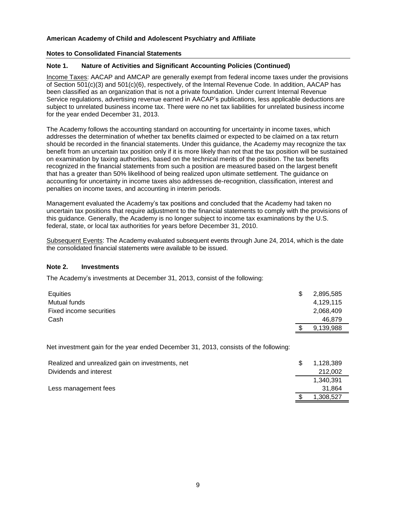#### **Notes to Consolidated Financial Statements**

## **Note 1. Nature of Activities and Significant Accounting Policies (Continued)**

Income Taxes: AACAP and AMCAP are generally exempt from federal income taxes under the provisions of Section 501(c)(3) and 501(c)(6), respectively, of the Internal Revenue Code. In addition, AACAP has been classified as an organization that is not a private foundation. Under current Internal Revenue Service regulations, advertising revenue earned in AACAP's publications, less applicable deductions are subject to unrelated business income tax. There were no net tax liabilities for unrelated business income for the year ended December 31, 2013.

The Academy follows the accounting standard on accounting for uncertainty in income taxes, which addresses the determination of whether tax benefits claimed or expected to be claimed on a tax return should be recorded in the financial statements. Under this guidance, the Academy may recognize the tax benefit from an uncertain tax position only if it is more likely than not that the tax position will be sustained on examination by taxing authorities, based on the technical merits of the position. The tax benefits recognized in the financial statements from such a position are measured based on the largest benefit that has a greater than 50% likelihood of being realized upon ultimate settlement. The guidance on accounting for uncertainty in income taxes also addresses de-recognition, classification, interest and penalties on income taxes, and accounting in interim periods.

Management evaluated the Academy's tax positions and concluded that the Academy had taken no uncertain tax positions that require adjustment to the financial statements to comply with the provisions of this guidance. Generally, the Academy is no longer subject to income tax examinations by the U.S. federal, state, or local tax authorities for years before December 31, 2010.

Subsequent Events: The Academy evaluated subsequent events through June 24, 2014, which is the date the consolidated financial statements were available to be issued.

#### **Note 2. Investments**

The Academy's investments at December 31, 2013, consist of the following:

| Equities                | \$<br>2,895,585 |
|-------------------------|-----------------|
| Mutual funds            | 4,129,115       |
| Fixed income securities | 2,068,409       |
| Cash                    | 46,879          |
|                         | 9,139,988       |

Net investment gain for the year ended December 31, 2013, consists of the following:

| Realized and unrealized gain on investments, net | 1.128.389 |
|--------------------------------------------------|-----------|
| Dividends and interest                           | 212,002   |
|                                                  | 1.340.391 |
| Less management fees                             | 31.864    |
|                                                  | 1,308,527 |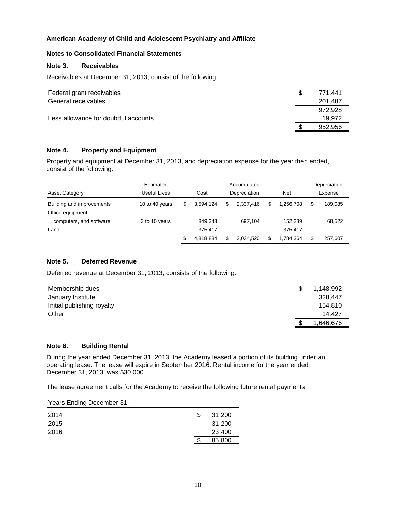## **Notes to Consolidated Financial Statements**

#### **Note 3. Receivables**

Receivables at December 31, 2013, consist of the following:

| Federal grant receivables            | -S | 771.441 |
|--------------------------------------|----|---------|
| General receivables                  |    | 201.487 |
|                                      |    | 972.928 |
| Less allowance for doubtful accounts |    | 19.972  |
|                                      |    | 952.956 |

## **Note 4. Property and Equipment**

Property and equipment at December 31, 2013, and depreciation expense for the year then ended, consist of the following:

|                                                | Estimated      |   | Accumulated          |     |              |  |                    |  | Depreciation |
|------------------------------------------------|----------------|---|----------------------|-----|--------------|--|--------------------|--|--------------|
| <b>Asset Category</b>                          | Useful Lives   |   | Depreciation<br>Cost |     |              |  | <b>Net</b>         |  | Expense      |
| Building and improvements<br>Office equipment, | 10 to 40 years | S | 3.594.124            | S   | 2.337.416    |  | 1.256.708          |  | 189.085      |
| computers, and software<br>Land                | 3 to 10 years  |   | 849.343<br>375.417   |     | 697.104<br>۰ |  | 152.239<br>375.417 |  | 68.522<br>۰  |
|                                                |                |   | 4,818,884            | \$. | 3,034,520    |  | 1,784,364          |  | 257,607      |

#### **Note 5. Deferred Revenue**

Deferred revenue at December 31, 2013, consists of the following:

| Membership dues            | 1,148,992 |
|----------------------------|-----------|
| January Institute          | 328,447   |
| Initial publishing royalty | 154.810   |
| Other                      | 14.427    |
|                            | 1,646,676 |

## **Note 6. Building Rental**

During the year ended December 31, 2013, the Academy leased a portion of its building under an operating lease. The lease will expire in September 2016. Rental income for the year ended December 31, 2013, was \$30,000.

The lease agreement calls for the Academy to receive the following future rental payments:

| Years Ending December 31, |   |        |
|---------------------------|---|--------|
| 2014                      | S | 31,200 |
| 2015                      |   | 31,200 |
| 2016                      |   | 23,400 |
|                           |   | 85,800 |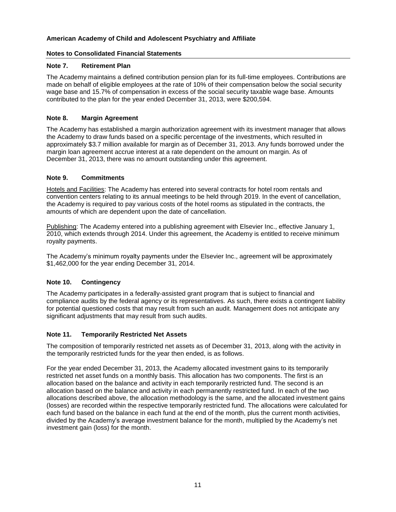## **Notes to Consolidated Financial Statements**

## **Note 7. Retirement Plan**

The Academy maintains a defined contribution pension plan for its full-time employees. Contributions are made on behalf of eligible employees at the rate of 10% of their compensation below the social security wage base and 15.7% of compensation in excess of the social security taxable wage base. Amounts contributed to the plan for the year ended December 31, 2013, were \$200,594.

## **Note 8. Margin Agreement**

The Academy has established a margin authorization agreement with its investment manager that allows the Academy to draw funds based on a specific percentage of the investments, which resulted in approximately \$3.7 million available for margin as of December 31, 2013. Any funds borrowed under the margin loan agreement accrue interest at a rate dependent on the amount on margin. As of December 31, 2013, there was no amount outstanding under this agreement.

## **Note 9. Commitments**

Hotels and Facilities: The Academy has entered into several contracts for hotel room rentals and convention centers relating to its annual meetings to be held through 2019. In the event of cancellation, the Academy is required to pay various costs of the hotel rooms as stipulated in the contracts, the amounts of which are dependent upon the date of cancellation.

Publishing: The Academy entered into a publishing agreement with Elsevier Inc., effective January 1, 2010, which extends through 2014. Under this agreement, the Academy is entitled to receive minimum royalty payments.

The Academy's minimum royalty payments under the Elsevier Inc., agreement will be approximately \$1,462,000 for the year ending December 31, 2014.

## **Note 10. Contingency**

The Academy participates in a federally-assisted grant program that is subject to financial and compliance audits by the federal agency or its representatives. As such, there exists a contingent liability for potential questioned costs that may result from such an audit. Management does not anticipate any significant adjustments that may result from such audits.

## **Note 11. Temporarily Restricted Net Assets**

The composition of temporarily restricted net assets as of December 31, 2013, along with the activity in the temporarily restricted funds for the year then ended, is as follows.

For the year ended December 31, 2013, the Academy allocated investment gains to its temporarily restricted net asset funds on a monthly basis. This allocation has two components. The first is an allocation based on the balance and activity in each temporarily restricted fund. The second is an allocation based on the balance and activity in each permanently restricted fund. In each of the two allocations described above, the allocation methodology is the same, and the allocated investment gains (losses) are recorded within the respective temporarily restricted fund. The allocations were calculated for each fund based on the balance in each fund at the end of the month, plus the current month activities, divided by the Academy's average investment balance for the month, multiplied by the Academy's net investment gain (loss) for the month.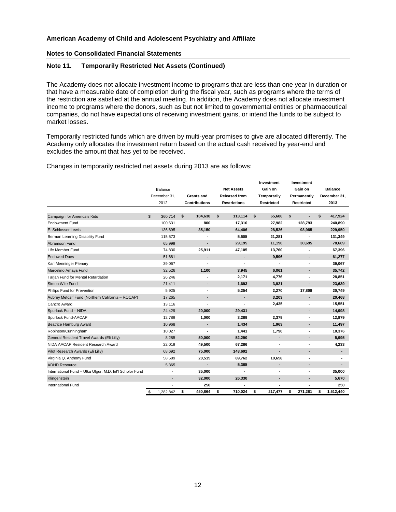## **Notes to Consolidated Financial Statements**

## **Note 11. Temporarily Restricted Net Assets (Continued)**

The Academy does not allocate investment income to programs that are less than one year in duration or that have a measurable date of completion during the fiscal year, such as programs where the terms of the restriction are satisfied at the annual meeting. In addition, the Academy does not allocate investment income to programs where the donors, such as but not limited to governmental entities or pharmaceutical companies, do not have expectations of receiving investment gains, or intend the funds to be subject to market losses.

Temporarily restricted funds which are driven by multi-year promises to give are allocated differently. The Academy only allocates the investment return based on the actual cash received by year-end and excludes the amount that has yet to be received.

Changes in temporarily restricted net assets during 2013 are as follows:

|                                                          |                 |                      |                      |   | Investment        |    | Investment               |                 |
|----------------------------------------------------------|-----------------|----------------------|----------------------|---|-------------------|----|--------------------------|-----------------|
|                                                          | Balance         | <b>Net Assets</b>    |                      |   | Gain on           |    | Gain on                  | <b>Balance</b>  |
|                                                          | December 31,    | <b>Grants and</b>    | <b>Released from</b> |   | Temporarily       |    | Permanently              | December 31,    |
|                                                          | 2012            | <b>Contributions</b> | <b>Restrictions</b>  |   | <b>Restricted</b> |    | <b>Restricted</b>        | 2013            |
|                                                          |                 |                      |                      |   |                   |    |                          |                 |
| Campaign for America's Kids                              | \$<br>360,714   | 104,638<br>\$        | 113,114<br>\$        |   | \$<br>65,686      | \$ | $\blacksquare$           | \$<br>417,924   |
| <b>Endowment Fund</b>                                    | 100,631         | 800                  | 17,316               |   | 27,982            |    | 128,793                  | 240,890         |
| E. Schlosser Lewis                                       | 136,695         | 35,150               | 64,406               |   | 28,526            |    | 93,985                   | 229,950         |
| Berman Learning Disability Fund                          | 115,573         |                      | 5,505                |   | 21,281            |    |                          | 131,349         |
| Abramson Fund                                            | 65,999          | $\overline{a}$       | 29,195               |   | 11,190            |    | 30,695                   | 78,689          |
| Life Member Fund                                         | 74,830          | 25,911               | 47,105               |   | 13,760            |    |                          | 67,396          |
| <b>Endowed Dues</b>                                      | 51,681          |                      |                      | ٠ | 9,596             |    | $\blacksquare$           | 61,277          |
| Karl Menninger Plenary                                   | 39.067          |                      |                      |   |                   |    |                          | 39,067          |
| Marcelino Amaya Fund                                     | 32,526          | 1,100                | 3,945                |   | 6,061             |    | $\blacksquare$           | 35,742          |
| Tarjan Fund for Mental Retardation                       | 26,246          |                      | 2,171                |   | 4,776             |    |                          | 28,851          |
| Simon Wile Fund                                          | 21,411          | $\blacksquare$       | 1,693                |   | 3,921             |    |                          | 23,639          |
| Philips Fund for Prevention                              | 5,925           | ٠                    | 5,254                |   | 2,270             |    | 17,808                   | 20,749          |
| Aubrey Metcalf Fund (Northern California - ROCAP)        | 17,265          |                      |                      |   | 3,203             |    | $\overline{\phantom{a}}$ | 20,468          |
| Cancro Award                                             | 13,116          |                      |                      |   | 2,435             |    |                          | 15,551          |
| Spurlock Fund - NIDA                                     | 24,429          | 20,000               | 29,431               |   | ٠                 |    | $\blacksquare$           | 14,998          |
| Spurlock Fund-AACAP                                      | 12,789          | 1,000                | 3,289                |   | 2,379             |    |                          | 12,879          |
| <b>Beatrice Hamburg Award</b>                            | 10,968          |                      | 1,434                |   | 1,963             |    |                          | 11,497          |
| Robinson/Cunningham                                      | 10,027          | ä,                   | 1,441                |   | 1,790             |    | $\blacksquare$           | 10,376          |
| General Resident Travel Awards (Eli Lilly)               | 8,285           | 50,000               | 52,290               |   | ٠                 |    | $\blacksquare$           | 5,995           |
| NIDA AACAP Resident Research Award                       | 22,019          | 49,500               | 67,286               |   | ٠                 |    | ٠                        | 4,233           |
| Pilot Research Awards (Eli Lilly)                        | 68,692          | 75,000               | 143,692              |   | $\overline{a}$    |    |                          | ٠               |
| Virginia Q. Anthony Fund                                 | 58,589          | 20,515               | 89,762               |   | 10,658            |    |                          |                 |
| <b>ADHD Resource</b>                                     | 5,365           | $\overline{a}$       | 5,365                |   | ٠                 |    | $\blacksquare$           |                 |
| International Fund - Ulku Ulgur, M.D. Int'l Scholor Fund |                 | 35,000               |                      |   | ٠                 |    |                          | 35,000          |
| Klingenstein                                             | $\overline{a}$  | 32,000               | 26,330               |   | ٠                 |    | $\blacksquare$           | 5,670           |
| International Fund                                       | ٠               | 250                  |                      |   | ٠                 |    |                          | 250             |
|                                                          | \$<br>1,282,842 | \$<br>450,864        | \$<br>710,024        |   | \$<br>217,477     | \$ | 271,281                  | \$<br>1,512,440 |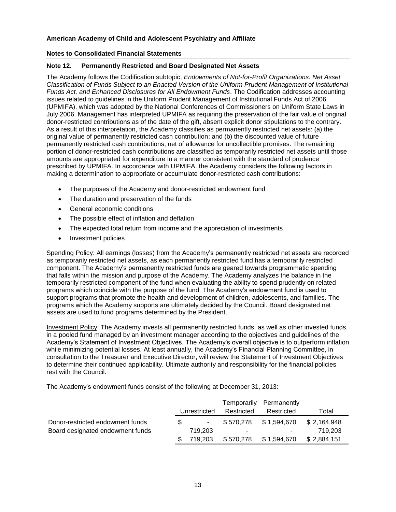## **Notes to Consolidated Financial Statements**

#### **Note 12. Permanently Restricted and Board Designated Net Assets**

The Academy follows the Codification subtopic, *Endowments of Not-for-Profit Organizations: Net Asset Classification of Funds Subject to an Enacted Version of the Uniform Prudent Management of Institutional Funds Act, and Enhanced Disclosures for All Endowment Funds*. The Codification addresses accounting issues related to guidelines in the Uniform Prudent Management of Institutional Funds Act of 2006 (UPMIFA), which was adopted by the National Conferences of Commissioners on Uniform State Laws in July 2006. Management has interpreted UPMIFA as requiring the preservation of the fair value of original donor-restricted contributions as of the date of the gift, absent explicit donor stipulations to the contrary. As a result of this interpretation, the Academy classifies as permanently restricted net assets: (a) the original value of permanently restricted cash contribution; and (b) the discounted value of future permanently restricted cash contributions, net of allowance for uncollectible promises. The remaining portion of donor-restricted cash contributions are classified as temporarily restricted net assets until those amounts are appropriated for expenditure in a manner consistent with the standard of prudence prescribed by UPMIFA. In accordance with UPMIFA, the Academy considers the following factors in making a determination to appropriate or accumulate donor-restricted cash contributions:

- The purposes of the Academy and donor-restricted endowment fund
- The duration and preservation of the funds
- General economic conditions
- The possible effect of inflation and deflation
- The expected total return from income and the appreciation of investments
- Investment policies

Spending Policy: All earnings (losses) from the Academy's permanently restricted net assets are recorded as temporarily restricted net assets, as each permanently restricted fund has a temporarily restricted component. The Academy's permanently restricted funds are geared towards programmatic spending that falls within the mission and purpose of the Academy. The Academy analyzes the balance in the temporarily restricted component of the fund when evaluating the ability to spend prudently on related programs which coincide with the purpose of the fund. The Academy's endowment fund is used to support programs that promote the health and development of children, adolescents, and families. The programs which the Academy supports are ultimately decided by the Council. Board designated net assets are used to fund programs determined by the President.

Investment Policy: The Academy invests all permanently restricted funds, as well as other invested funds, in a pooled fund managed by an investment manager according to the objectives and guidelines of the Academy's Statement of Investment Objectives. The Academy's overall objective is to outperform inflation while minimizing potential losses. At least annually, the Academy's Financial Planning Committee, in consultation to the Treasurer and Executive Director, will review the Statement of Investment Objectives to determine their continued applicability. Ultimate authority and responsibility for the financial policies rest with the Council.

The Academy's endowment funds consist of the following at December 31, 2013:

|                                  |              |         | Temporarily    | Permanently              |             |            |       |
|----------------------------------|--------------|---------|----------------|--------------------------|-------------|------------|-------|
|                                  | Unrestricted |         |                |                          | Restricted  | Restricted | Total |
| Donor-restricted endowment funds |              | $\sim$  | \$570.278      | \$1,594,670              | \$2,164,948 |            |       |
| Board designated endowment funds |              | 719.203 | $\blacksquare$ | $\overline{\phantom{a}}$ | 719.203     |            |       |
|                                  |              | 719.203 | \$570,278      | \$1,594,670              | \$2,884,151 |            |       |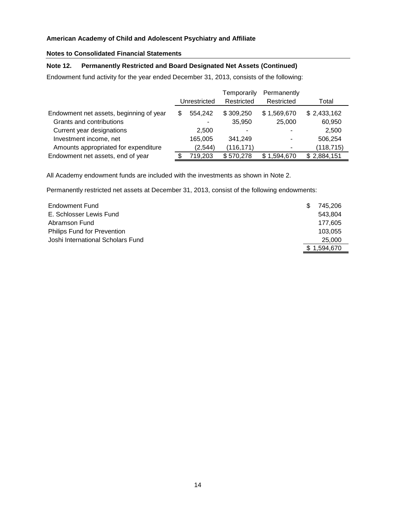## **Notes to Consolidated Financial Statements**

## **Note 12. Permanently Restricted and Board Designated Net Assets (Continued)**

Endowment fund activity for the year ended December 31, 2013, consists of the following:

|                                         |              |          | Temporarily | Permanently              |             |
|-----------------------------------------|--------------|----------|-------------|--------------------------|-------------|
|                                         | Unrestricted |          | Restricted  | Restricted               | Total       |
| Endowment net assets, beginning of year | S            | 554.242  | \$309,250   | \$1,569,670              | \$2,433,162 |
| Grants and contributions                |              |          | 35,950      | 25,000                   | 60,950      |
| Current year designations               |              | 2.500    | -           | $\overline{\phantom{0}}$ | 2,500       |
| Investment income, net                  |              | 165,005  | 341.249     | -                        | 506,254     |
| Amounts appropriated for expenditure    |              | (2, 544) | (116, 171)  | ۰                        | (118, 715)  |
| Endowment net assets, end of year       |              | 719,203  | \$570,278   | \$1,594,670              | \$2,884,151 |

All Academy endowment funds are included with the investments as shown in Note 2.

Permanently restricted net assets at December 31, 2013, consist of the following endowments:

| Endowment Fund                     | 745.206   |
|------------------------------------|-----------|
| E. Schlosser Lewis Fund            | 543.804   |
| Abramson Fund                      | 177.605   |
| <b>Philips Fund for Prevention</b> | 103.055   |
| Joshi International Scholars Fund  | 25,000    |
|                                    | 1.594.670 |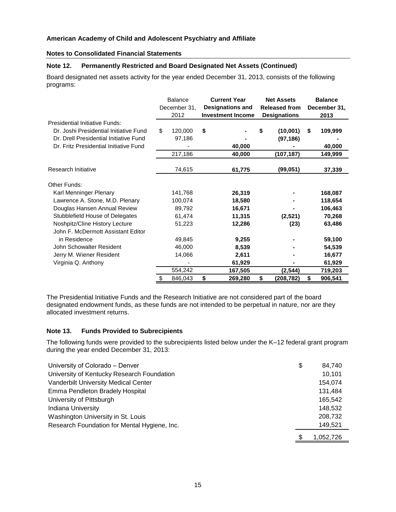#### **Notes to Consolidated Financial Statements**

## **Note 12. Permanently Restricted and Board Designated Net Assets (Continued)**

Board designated net assets activity for the year ended December 31, 2013, consists of the following programs:

|                                                                                                                                                                                                                      | <b>Balance</b><br>December 31,<br>2012           | <b>Current Year</b><br><b>Designations and</b><br><b>Investment Income</b> | <b>Net Assets</b><br><b>Released from</b><br><b>Designations</b> | <b>Balance</b><br>December 31,<br>2013            |  |
|----------------------------------------------------------------------------------------------------------------------------------------------------------------------------------------------------------------------|--------------------------------------------------|----------------------------------------------------------------------------|------------------------------------------------------------------|---------------------------------------------------|--|
| Presidential Initiative Funds:<br>Dr. Joshi Presidential Initiative Fund<br>Dr. Drell Presidential Initiative Fund<br>Dr. Fritz Presidential Initiative Fund                                                         | \$<br>120,000<br>97,186<br>217,186               | \$<br>40,000<br>40,000                                                     | (10,001)<br>S<br>(97, 186)<br>(107, 187)                         | 109,999<br>\$<br>40,000<br>149,999                |  |
| Research Initiative                                                                                                                                                                                                  | 74,615                                           | 61,775                                                                     | (99, 051)                                                        | 37,339                                            |  |
| Other Funds:<br>Karl Menninger Plenary<br>Lawrence A. Stone, M.D. Plenary<br>Douglas Hansen Annual Review<br>Stubblefield House of Delegates<br>Noshpitz/Cline History Lecture<br>John F. McDermott Assistant Editor | 141,768<br>100,074<br>89,792<br>61,474<br>51,223 | 26,319<br>18,580<br>16,671<br>11,315<br>12,286                             | (2,521)<br>(23)                                                  | 168,087<br>118,654<br>106,463<br>70,268<br>63,486 |  |
| in Residence<br>John Schowalter Resident<br>Jerry M. Wiener Resident<br>Virginia Q. Anthony                                                                                                                          | 49,845<br>46,000<br>14,066<br>554,242            | 9,255<br>8,539<br>2,611<br>61,929<br>167,505                               | (2, 544)                                                         | 59,100<br>54,539<br>16,677<br>61,929<br>719,203   |  |
|                                                                                                                                                                                                                      | 846,043                                          | \$<br>269,280                                                              | \$<br>(208,782)                                                  | \$<br>906,541                                     |  |

The Presidential Initiative Funds and the Research Initiative are not considered part of the board designated endowment funds, as these funds are not intended to be perpetual in nature, nor are they allocated investment returns.

#### **Note 13. Funds Provided to Subrecipients**

The following funds were provided to the subrecipients listed below under the K–12 federal grant program during the year ended December 31, 2013:

| University of Colorado - Denver              | \$<br>84,740 |
|----------------------------------------------|--------------|
| University of Kentucky Research Foundation   | 10,101       |
| Vanderbilt University Medical Center         | 154,074      |
| Emma Pendleton Bradely Hospital              | 131,484      |
| University of Pittsburgh                     | 165,542      |
| <b>Indiana University</b>                    | 148,532      |
| Washington University in St. Louis           | 208,732      |
| Research Foundation for Mental Hygiene, Inc. | 149,521      |
|                                              | 1.052.726    |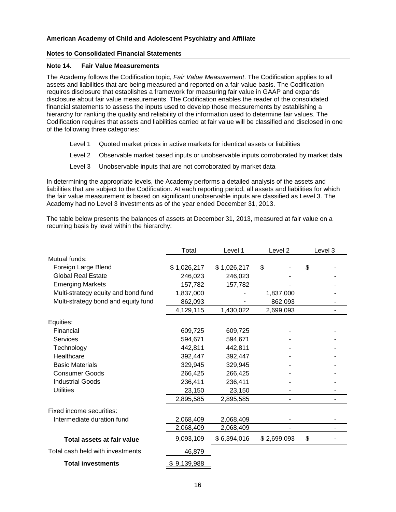#### **Notes to Consolidated Financial Statements**

#### **Note 14. Fair Value Measurements**

The Academy follows the Codification topic, *Fair Value Measurement*. The Codification applies to all assets and liabilities that are being measured and reported on a fair value basis. The Codification requires disclosure that establishes a framework for measuring fair value in GAAP and expands disclosure about fair value measurements. The Codification enables the reader of the consolidated financial statements to assess the inputs used to develop those measurements by establishing a hierarchy for ranking the quality and reliability of the information used to determine fair values. The Codification requires that assets and liabilities carried at fair value will be classified and disclosed in one of the following three categories:

- Level 1 Quoted market prices in active markets for identical assets or liabilities
- Level 2 Observable market based inputs or unobservable inputs corroborated by market data
- Level 3 Unobservable inputs that are not corroborated by market data

In determining the appropriate levels, the Academy performs a detailed analysis of the assets and liabilities that are subject to the Codification. At each reporting period, all assets and liabilities for which the fair value measurement is based on significant unobservable inputs are classified as Level 3. The Academy had no Level 3 investments as of the year ended December 31, 2013.

The table below presents the balances of assets at December 31, 2013, measured at fair value on a recurring basis by level within the hierarchy:

|                                     | Total       | Level 1     | Level 2     |    | Level 3 |
|-------------------------------------|-------------|-------------|-------------|----|---------|
| Mutual funds:                       |             |             |             |    |         |
| Foreign Large Blend                 | \$1,026,217 | \$1,026,217 | \$          | \$ |         |
| <b>Global Real Estate</b>           | 246,023     | 246,023     |             |    |         |
| <b>Emerging Markets</b>             | 157,782     | 157,782     |             |    |         |
| Multi-strategy equity and bond fund | 1,837,000   | 1,837,000   |             |    |         |
| Multi-strategy bond and equity fund | 862,093     |             | 862,093     |    |         |
|                                     | 4,129,115   | 1,430,022   | 2,699,093   |    |         |
| Equities:                           |             |             |             |    |         |
| Financial                           | 609,725     | 609,725     |             |    |         |
| Services                            | 594,671     | 594,671     |             |    |         |
| Technology                          | 442,811     | 442,811     |             |    |         |
| Healthcare                          | 392,447     | 392,447     |             |    |         |
| <b>Basic Materials</b>              | 329,945     | 329,945     |             |    |         |
| <b>Consumer Goods</b>               | 266,425     | 266,425     |             |    |         |
| <b>Industrial Goods</b>             | 236,411     | 236,411     |             |    |         |
| <b>Utilities</b>                    | 23,150      | 23,150      |             |    |         |
|                                     | 2,895,585   | 2,895,585   |             |    |         |
| Fixed income securities:            |             |             |             |    |         |
| Intermediate duration fund          | 2,068,409   | 2,068,409   |             |    |         |
|                                     | 2,068,409   | 2,068,409   |             |    |         |
| Total assets at fair value          | 9,093,109   | \$6,394,016 | \$2,699,093 | \$ |         |
| Total cash held with investments    | 46,879      |             |             |    |         |
| <b>Total investments</b>            | 9,139,988   |             |             |    |         |